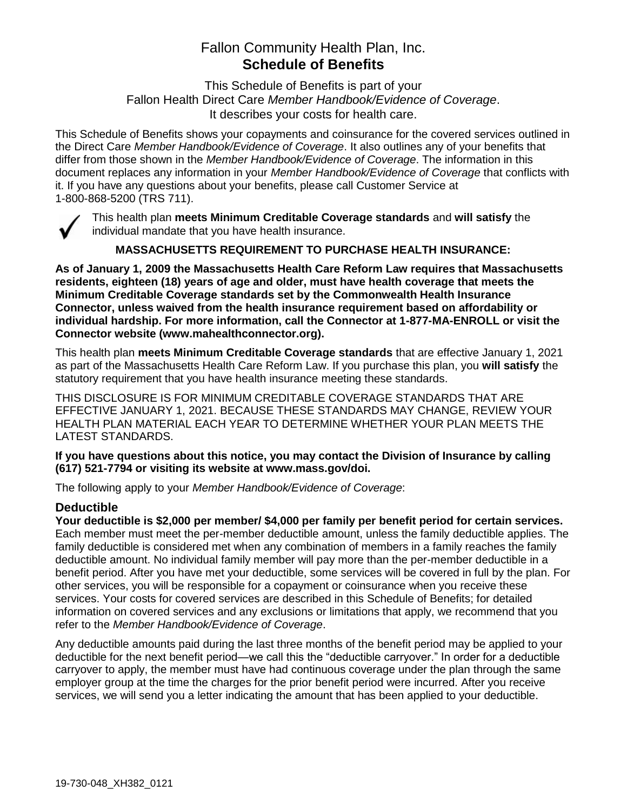# Fallon Community Health Plan, Inc. **Schedule of Benefits**

This Schedule of Benefits is part of your Fallon Health Direct Care *Member Handbook/Evidence of Coverage*. It describes your costs for health care.

This Schedule of Benefits shows your copayments and coinsurance for the covered services outlined in the Direct Care *Member Handbook/Evidence of Coverage*. It also outlines any of your benefits that differ from those shown in the *Member Handbook/Evidence of Coverage*. The information in this document replaces any information in your *Member Handbook/Evidence of Coverage* that conflicts with it. If you have any questions about your benefits, please call Customer Service at 1-800-868-5200 (TRS 711).



This health plan **meets Minimum Creditable Coverage standards** and **will satisfy** the individual mandate that you have health insurance.

**MASSACHUSETTS REQUIREMENT TO PURCHASE HEALTH INSURANCE:**

**As of January 1, 2009 the Massachusetts Health Care Reform Law requires that Massachusetts residents, eighteen (18) years of age and older, must have health coverage that meets the Minimum Creditable Coverage standards set by the Commonwealth Health Insurance Connector, unless waived from the health insurance requirement based on affordability or individual hardship. For more information, call the Connector at 1-877-MA-ENROLL or visit the Connector website (www.mahealthconnector.org).**

This health plan **meets Minimum Creditable Coverage standards** that are effective January 1, 2021 as part of the Massachusetts Health Care Reform Law. If you purchase this plan, you **will satisfy** the statutory requirement that you have health insurance meeting these standards.

THIS DISCLOSURE IS FOR MINIMUM CREDITABLE COVERAGE STANDARDS THAT ARE EFFECTIVE JANUARY 1, 2021. BECAUSE THESE STANDARDS MAY CHANGE, REVIEW YOUR HEALTH PLAN MATERIAL EACH YEAR TO DETERMINE WHETHER YOUR PLAN MEETS THE LATEST STANDARDS.

**If you have questions about this notice, you may contact the Division of Insurance by calling (617) 521-7794 or visiting its website at www.mass.gov/doi.** 

The following apply to your *Member Handbook/Evidence of Coverage*:

# **Deductible**

**Your deductible is \$2,000 per member/ \$4,000 per family per benefit period for certain services.** Each member must meet the per-member deductible amount, unless the family deductible applies. The family deductible is considered met when any combination of members in a family reaches the family deductible amount. No individual family member will pay more than the per-member deductible in a benefit period. After you have met your deductible, some services will be covered in full by the plan. For other services, you will be responsible for a copayment or coinsurance when you receive these services. Your costs for covered services are described in this Schedule of Benefits; for detailed information on covered services and any exclusions or limitations that apply, we recommend that you refer to the *Member Handbook/Evidence of Coverage*.

Any deductible amounts paid during the last three months of the benefit period may be applied to your deductible for the next benefit period—we call this the "deductible carryover." In order for a deductible carryover to apply, the member must have had continuous coverage under the plan through the same employer group at the time the charges for the prior benefit period were incurred. After you receive services, we will send you a letter indicating the amount that has been applied to your deductible.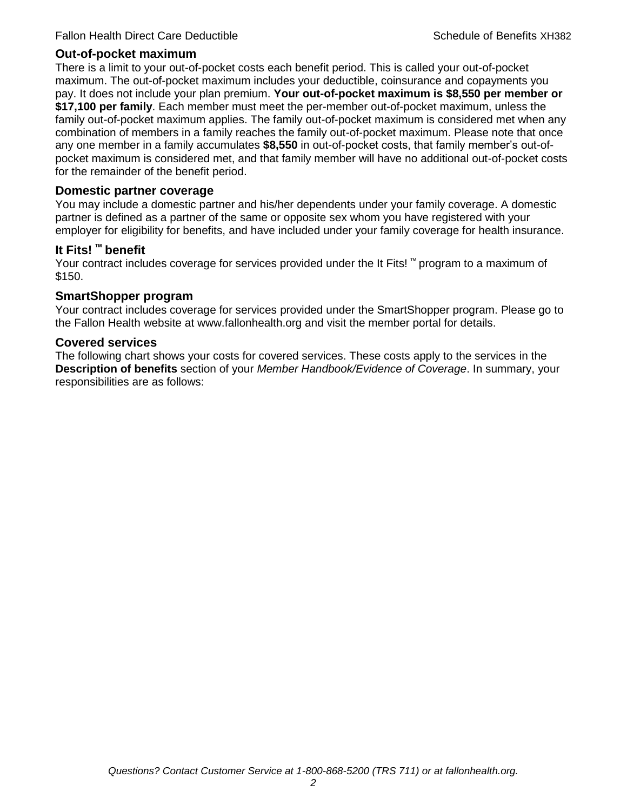#### **Out-of-pocket maximum**

There is a limit to your out-of-pocket costs each benefit period. This is called your out-of-pocket maximum. The out-of-pocket maximum includes your deductible, coinsurance and copayments you pay. It does not include your plan premium. **Your out-of-pocket maximum is \$8,550 per member or \$17,100 per family**. Each member must meet the per-member out-of-pocket maximum, unless the family out-of-pocket maximum applies. The family out-of-pocket maximum is considered met when any combination of members in a family reaches the family out-of-pocket maximum. Please note that once any one member in a family accumulates **\$8,550** in out-of-pocket costs, that family member's out-ofpocket maximum is considered met, and that family member will have no additional out-of-pocket costs for the remainder of the benefit period.

#### **Domestic partner coverage**

You may include a domestic partner and his/her dependents under your family coverage. A domestic partner is defined as a partner of the same or opposite sex whom you have registered with your employer for eligibility for benefits, and have included under your family coverage for health insurance.

### **It Fits! ™ benefit**

Your contract includes coverage for services provided under the It Fits! ™ program to a maximum of \$150.

### **SmartShopper program**

Your contract includes coverage for services provided under the SmartShopper program. Please go to the Fallon Health website at www.fallonhealth.org and visit the member portal for details.

#### **Covered services**

The following chart shows your costs for covered services. These costs apply to the services in the **Description of benefits** section of your *Member Handbook/Evidence of Coverage*. In summary, your responsibilities are as follows: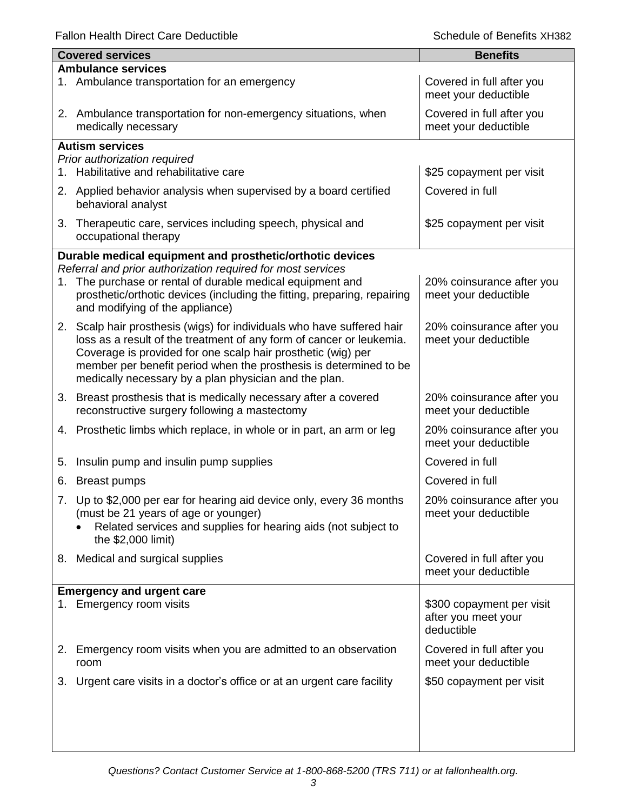Fallon Health Direct Care Deductible **Schedule of Benefits XH382** Schedule of Benefits XH382

|    | <b>Covered services</b>                                                                                                                                                                                   | <b>Benefits</b>                                                |
|----|-----------------------------------------------------------------------------------------------------------------------------------------------------------------------------------------------------------|----------------------------------------------------------------|
|    | <b>Ambulance services</b>                                                                                                                                                                                 |                                                                |
|    | 1. Ambulance transportation for an emergency                                                                                                                                                              | Covered in full after you<br>meet your deductible              |
|    | 2. Ambulance transportation for non-emergency situations, when<br>medically necessary                                                                                                                     | Covered in full after you<br>meet your deductible              |
|    | <b>Autism services</b>                                                                                                                                                                                    |                                                                |
|    | Prior authorization required<br>Habilitative and rehabilitative care                                                                                                                                      | \$25 copayment per visit                                       |
| 1. |                                                                                                                                                                                                           |                                                                |
|    | 2. Applied behavior analysis when supervised by a board certified<br>behavioral analyst                                                                                                                   | Covered in full                                                |
| 3. | Therapeutic care, services including speech, physical and<br>occupational therapy                                                                                                                         | \$25 copayment per visit                                       |
|    | Durable medical equipment and prosthetic/orthotic devices                                                                                                                                                 |                                                                |
|    | Referral and prior authorization required for most services                                                                                                                                               |                                                                |
| 1. | The purchase or rental of durable medical equipment and<br>prosthetic/orthotic devices (including the fitting, preparing, repairing<br>and modifying of the appliance)                                    | 20% coinsurance after you<br>meet your deductible              |
|    | 2. Scalp hair prosthesis (wigs) for individuals who have suffered hair                                                                                                                                    | 20% coinsurance after you                                      |
|    | loss as a result of the treatment of any form of cancer or leukemia.<br>Coverage is provided for one scalp hair prosthetic (wig) per<br>member per benefit period when the prosthesis is determined to be | meet your deductible                                           |
|    | medically necessary by a plan physician and the plan.                                                                                                                                                     |                                                                |
|    | 3. Breast prosthesis that is medically necessary after a covered<br>reconstructive surgery following a mastectomy                                                                                         | 20% coinsurance after you<br>meet your deductible              |
| 4. | Prosthetic limbs which replace, in whole or in part, an arm or leg                                                                                                                                        | 20% coinsurance after you<br>meet your deductible              |
| 5. | Insulin pump and insulin pump supplies                                                                                                                                                                    | Covered in full                                                |
| 6. | <b>Breast pumps</b>                                                                                                                                                                                       | Covered in full                                                |
|    | 7. Up to \$2,000 per ear for hearing aid device only, every 36 months<br>(must be 21 years of age or younger)<br>Related services and supplies for hearing aids (not subject to<br>the \$2,000 limit)     | 20% coinsurance after you<br>meet your deductible              |
|    | 8. Medical and surgical supplies                                                                                                                                                                          | Covered in full after you<br>meet your deductible              |
|    | <b>Emergency and urgent care</b>                                                                                                                                                                          |                                                                |
|    | 1. Emergency room visits                                                                                                                                                                                  | \$300 copayment per visit<br>after you meet your<br>deductible |
|    | 2. Emergency room visits when you are admitted to an observation<br>room                                                                                                                                  | Covered in full after you<br>meet your deductible              |
| 3. | Urgent care visits in a doctor's office or at an urgent care facility                                                                                                                                     | \$50 copayment per visit                                       |
|    |                                                                                                                                                                                                           |                                                                |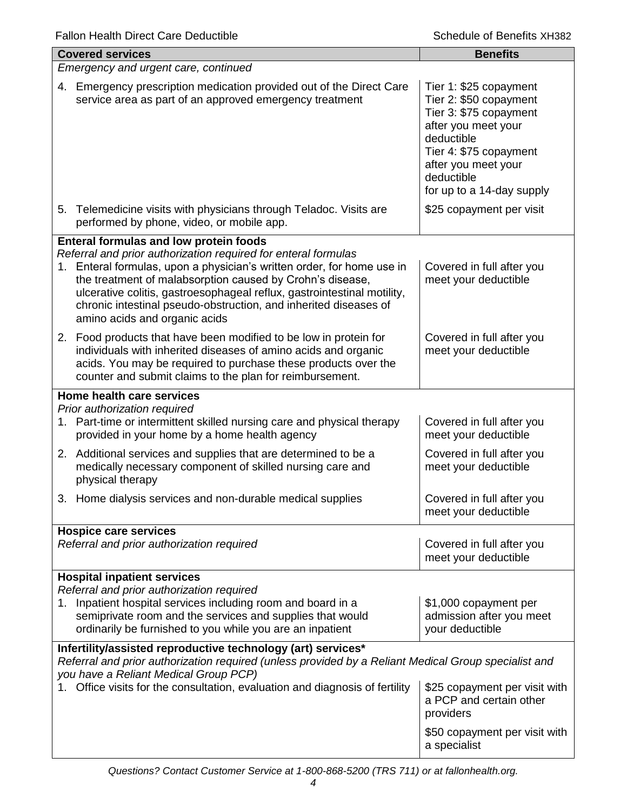| <b>Covered services</b>                                                                                                                                                                                                                                                                                                                                                               | <b>Benefits</b>                                                                                                                                                                                             |  |  |
|---------------------------------------------------------------------------------------------------------------------------------------------------------------------------------------------------------------------------------------------------------------------------------------------------------------------------------------------------------------------------------------|-------------------------------------------------------------------------------------------------------------------------------------------------------------------------------------------------------------|--|--|
| Emergency and urgent care, continued                                                                                                                                                                                                                                                                                                                                                  |                                                                                                                                                                                                             |  |  |
| 4. Emergency prescription medication provided out of the Direct Care<br>service area as part of an approved emergency treatment                                                                                                                                                                                                                                                       | Tier 1: \$25 copayment<br>Tier 2: \$50 copayment<br>Tier 3: \$75 copayment<br>after you meet your<br>deductible<br>Tier 4: \$75 copayment<br>after you meet your<br>deductible<br>for up to a 14-day supply |  |  |
| 5. Telemedicine visits with physicians through Teladoc. Visits are<br>performed by phone, video, or mobile app.                                                                                                                                                                                                                                                                       | \$25 copayment per visit                                                                                                                                                                                    |  |  |
| <b>Enteral formulas and low protein foods</b>                                                                                                                                                                                                                                                                                                                                         |                                                                                                                                                                                                             |  |  |
| Referral and prior authorization required for enteral formulas<br>1. Enteral formulas, upon a physician's written order, for home use in<br>the treatment of malabsorption caused by Crohn's disease,<br>ulcerative colitis, gastroesophageal reflux, gastrointestinal motility,<br>chronic intestinal pseudo-obstruction, and inherited diseases of<br>amino acids and organic acids | Covered in full after you<br>meet your deductible                                                                                                                                                           |  |  |
| 2. Food products that have been modified to be low in protein for<br>individuals with inherited diseases of amino acids and organic<br>acids. You may be required to purchase these products over the<br>counter and submit claims to the plan for reimbursement.                                                                                                                     | Covered in full after you<br>meet your deductible                                                                                                                                                           |  |  |
| Home health care services                                                                                                                                                                                                                                                                                                                                                             |                                                                                                                                                                                                             |  |  |
| Prior authorization required<br>1. Part-time or intermittent skilled nursing care and physical therapy<br>provided in your home by a home health agency                                                                                                                                                                                                                               | Covered in full after you<br>meet your deductible                                                                                                                                                           |  |  |
| 2. Additional services and supplies that are determined to be a<br>medically necessary component of skilled nursing care and<br>physical therapy                                                                                                                                                                                                                                      | Covered in full after you<br>meet your deductible                                                                                                                                                           |  |  |
| Home dialysis services and non-durable medical supplies<br>3.                                                                                                                                                                                                                                                                                                                         | Covered in full after you<br>meet your deductible                                                                                                                                                           |  |  |
| <b>Hospice care services</b><br>Referral and prior authorization required                                                                                                                                                                                                                                                                                                             | Covered in full after you<br>meet your deductible                                                                                                                                                           |  |  |
| <b>Hospital inpatient services</b>                                                                                                                                                                                                                                                                                                                                                    |                                                                                                                                                                                                             |  |  |
| Referral and prior authorization required<br>1. Inpatient hospital services including room and board in a<br>semiprivate room and the services and supplies that would<br>ordinarily be furnished to you while you are an inpatient                                                                                                                                                   | \$1,000 copayment per<br>admission after you meet<br>your deductible                                                                                                                                        |  |  |
| Infertility/assisted reproductive technology (art) services*<br>Referral and prior authorization required (unless provided by a Reliant Medical Group specialist and<br>you have a Reliant Medical Group PCP)                                                                                                                                                                         |                                                                                                                                                                                                             |  |  |
| Office visits for the consultation, evaluation and diagnosis of fertility                                                                                                                                                                                                                                                                                                             | \$25 copayment per visit with<br>a PCP and certain other<br>providers                                                                                                                                       |  |  |
|                                                                                                                                                                                                                                                                                                                                                                                       | \$50 copayment per visit with<br>a specialist                                                                                                                                                               |  |  |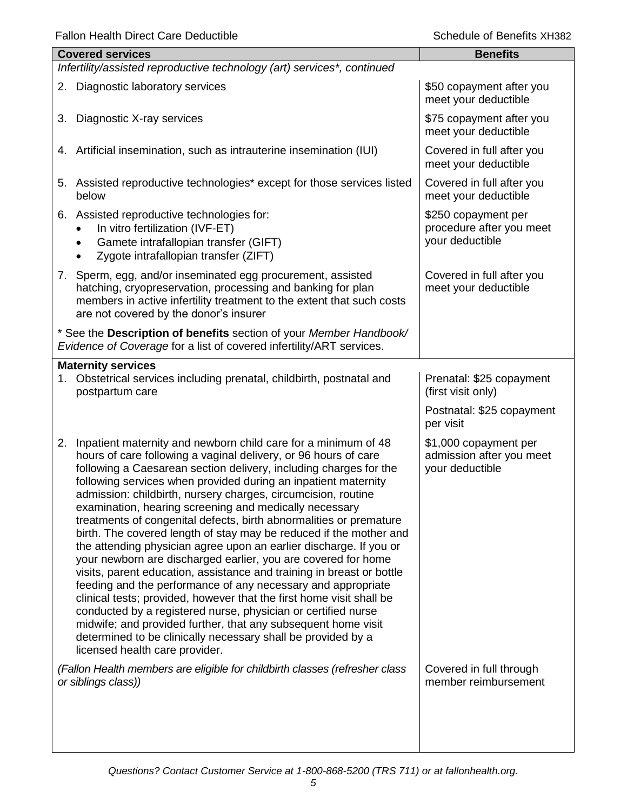|    | <b>Covered services</b>                                                                                                                                                                                                                                                                                                                                                                                                                                                                                                                                                                                                                                                                                                                                                                                                                                                                                                                                                                                                                                                                                                                     | <b>Benefits</b>                                                                   |  |  |
|----|---------------------------------------------------------------------------------------------------------------------------------------------------------------------------------------------------------------------------------------------------------------------------------------------------------------------------------------------------------------------------------------------------------------------------------------------------------------------------------------------------------------------------------------------------------------------------------------------------------------------------------------------------------------------------------------------------------------------------------------------------------------------------------------------------------------------------------------------------------------------------------------------------------------------------------------------------------------------------------------------------------------------------------------------------------------------------------------------------------------------------------------------|-----------------------------------------------------------------------------------|--|--|
|    | Infertility/assisted reproductive technology (art) services*, continued                                                                                                                                                                                                                                                                                                                                                                                                                                                                                                                                                                                                                                                                                                                                                                                                                                                                                                                                                                                                                                                                     |                                                                                   |  |  |
|    | 2. Diagnostic laboratory services                                                                                                                                                                                                                                                                                                                                                                                                                                                                                                                                                                                                                                                                                                                                                                                                                                                                                                                                                                                                                                                                                                           | \$50 copayment after you<br>meet your deductible                                  |  |  |
| 3. | Diagnostic X-ray services                                                                                                                                                                                                                                                                                                                                                                                                                                                                                                                                                                                                                                                                                                                                                                                                                                                                                                                                                                                                                                                                                                                   | \$75 copayment after you<br>meet your deductible                                  |  |  |
|    | 4. Artificial insemination, such as intrauterine insemination (IUI)                                                                                                                                                                                                                                                                                                                                                                                                                                                                                                                                                                                                                                                                                                                                                                                                                                                                                                                                                                                                                                                                         | Covered in full after you<br>meet your deductible                                 |  |  |
| 5. | Assisted reproductive technologies* except for those services listed<br>below                                                                                                                                                                                                                                                                                                                                                                                                                                                                                                                                                                                                                                                                                                                                                                                                                                                                                                                                                                                                                                                               | Covered in full after you<br>meet your deductible                                 |  |  |
|    | 6. Assisted reproductive technologies for:<br>In vitro fertilization (IVF-ET)<br>Gamete intrafallopian transfer (GIFT)<br>Zygote intrafallopian transfer (ZIFT)                                                                                                                                                                                                                                                                                                                                                                                                                                                                                                                                                                                                                                                                                                                                                                                                                                                                                                                                                                             | \$250 copayment per<br>procedure after you meet<br>your deductible                |  |  |
|    | 7. Sperm, egg, and/or inseminated egg procurement, assisted<br>hatching, cryopreservation, processing and banking for plan<br>members in active infertility treatment to the extent that such costs<br>are not covered by the donor's insurer                                                                                                                                                                                                                                                                                                                                                                                                                                                                                                                                                                                                                                                                                                                                                                                                                                                                                               | Covered in full after you<br>meet your deductible                                 |  |  |
|    | * See the Description of benefits section of your Member Handbook/<br>Evidence of Coverage for a list of covered infertility/ART services.                                                                                                                                                                                                                                                                                                                                                                                                                                                                                                                                                                                                                                                                                                                                                                                                                                                                                                                                                                                                  |                                                                                   |  |  |
|    | <b>Maternity services</b><br>1. Obstetrical services including prenatal, childbirth, postnatal and<br>postpartum care                                                                                                                                                                                                                                                                                                                                                                                                                                                                                                                                                                                                                                                                                                                                                                                                                                                                                                                                                                                                                       | Prenatal: \$25 copayment<br>(first visit only)<br>Postnatal: \$25 copayment       |  |  |
| 2. | Inpatient maternity and newborn child care for a minimum of 48<br>hours of care following a vaginal delivery, or 96 hours of care<br>following a Caesarean section delivery, including charges for the<br>following services when provided during an inpatient maternity<br>admission: childbirth, nursery charges, circumcision, routine<br>examination, hearing screening and medically necessary<br>treatments of congenital defects, birth abnormalities or premature<br>birth. The covered length of stay may be reduced if the mother and<br>the attending physician agree upon an earlier discharge. If you or<br>your newborn are discharged earlier, you are covered for home<br>visits, parent education, assistance and training in breast or bottle<br>feeding and the performance of any necessary and appropriate<br>clinical tests; provided, however that the first home visit shall be<br>conducted by a registered nurse, physician or certified nurse<br>midwife; and provided further, that any subsequent home visit<br>determined to be clinically necessary shall be provided by a<br>licensed health care provider. | per visit<br>\$1,000 copayment per<br>admission after you meet<br>your deductible |  |  |
|    | (Fallon Health members are eligible for childbirth classes (refresher class<br>or siblings class))                                                                                                                                                                                                                                                                                                                                                                                                                                                                                                                                                                                                                                                                                                                                                                                                                                                                                                                                                                                                                                          | Covered in full through<br>member reimbursement                                   |  |  |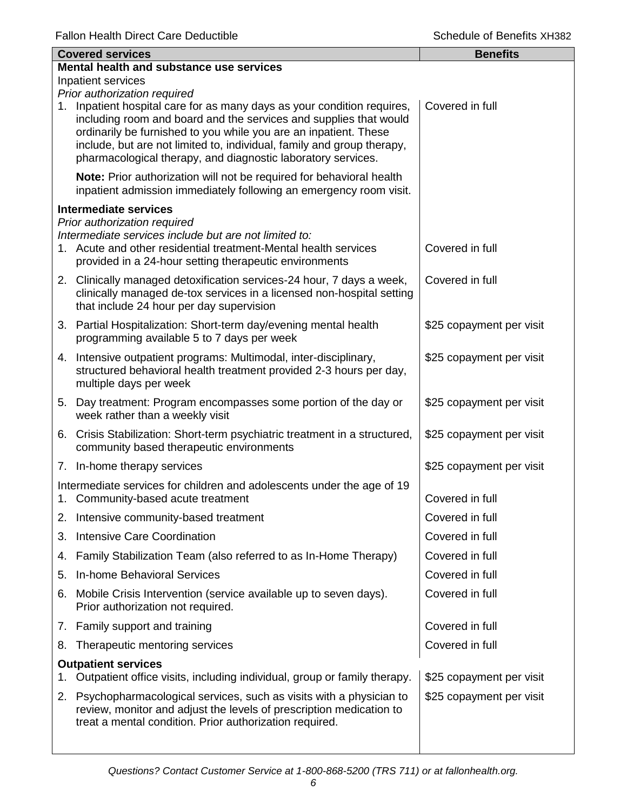|    | <b>Covered services</b>                                                                                                                                                                                                                                                                                                                                    | <b>Benefits</b>          |
|----|------------------------------------------------------------------------------------------------------------------------------------------------------------------------------------------------------------------------------------------------------------------------------------------------------------------------------------------------------------|--------------------------|
|    | Mental health and substance use services                                                                                                                                                                                                                                                                                                                   |                          |
|    | Inpatient services<br>Prior authorization required                                                                                                                                                                                                                                                                                                         |                          |
|    | 1. Inpatient hospital care for as many days as your condition requires,<br>including room and board and the services and supplies that would<br>ordinarily be furnished to you while you are an inpatient. These<br>include, but are not limited to, individual, family and group therapy,<br>pharmacological therapy, and diagnostic laboratory services. | Covered in full          |
|    | Note: Prior authorization will not be required for behavioral health<br>inpatient admission immediately following an emergency room visit.                                                                                                                                                                                                                 |                          |
|    | <b>Intermediate services</b>                                                                                                                                                                                                                                                                                                                               |                          |
|    | Prior authorization required<br>Intermediate services include but are not limited to:<br>1. Acute and other residential treatment-Mental health services<br>provided in a 24-hour setting therapeutic environments                                                                                                                                         | Covered in full          |
|    | 2. Clinically managed detoxification services-24 hour, 7 days a week,<br>clinically managed de-tox services in a licensed non-hospital setting<br>that include 24 hour per day supervision                                                                                                                                                                 | Covered in full          |
|    | 3. Partial Hospitalization: Short-term day/evening mental health<br>programming available 5 to 7 days per week                                                                                                                                                                                                                                             | \$25 copayment per visit |
|    | 4. Intensive outpatient programs: Multimodal, inter-disciplinary,<br>structured behavioral health treatment provided 2-3 hours per day,<br>multiple days per week                                                                                                                                                                                          | \$25 copayment per visit |
|    | 5. Day treatment: Program encompasses some portion of the day or<br>week rather than a weekly visit                                                                                                                                                                                                                                                        | \$25 copayment per visit |
|    | 6. Crisis Stabilization: Short-term psychiatric treatment in a structured,<br>community based therapeutic environments                                                                                                                                                                                                                                     | \$25 copayment per visit |
|    | 7. In-home therapy services                                                                                                                                                                                                                                                                                                                                | \$25 copayment per visit |
|    | Intermediate services for children and adolescents under the age of 19<br>1. Community-based acute treatment                                                                                                                                                                                                                                               | Covered in full          |
| 2. | Intensive community-based treatment                                                                                                                                                                                                                                                                                                                        | Covered in full          |
| 3. | <b>Intensive Care Coordination</b>                                                                                                                                                                                                                                                                                                                         | Covered in full          |
| 4. | Family Stabilization Team (also referred to as In-Home Therapy)                                                                                                                                                                                                                                                                                            | Covered in full          |
| 5. | <b>In-home Behavioral Services</b>                                                                                                                                                                                                                                                                                                                         | Covered in full          |
| 6. | Mobile Crisis Intervention (service available up to seven days).<br>Prior authorization not required.                                                                                                                                                                                                                                                      | Covered in full          |
|    | 7. Family support and training                                                                                                                                                                                                                                                                                                                             | Covered in full          |
| 8. | Therapeutic mentoring services                                                                                                                                                                                                                                                                                                                             | Covered in full          |
| 1. | <b>Outpatient services</b><br>Outpatient office visits, including individual, group or family therapy.                                                                                                                                                                                                                                                     | \$25 copayment per visit |
| 2. | Psychopharmacological services, such as visits with a physician to<br>review, monitor and adjust the levels of prescription medication to<br>treat a mental condition. Prior authorization required.                                                                                                                                                       | \$25 copayment per visit |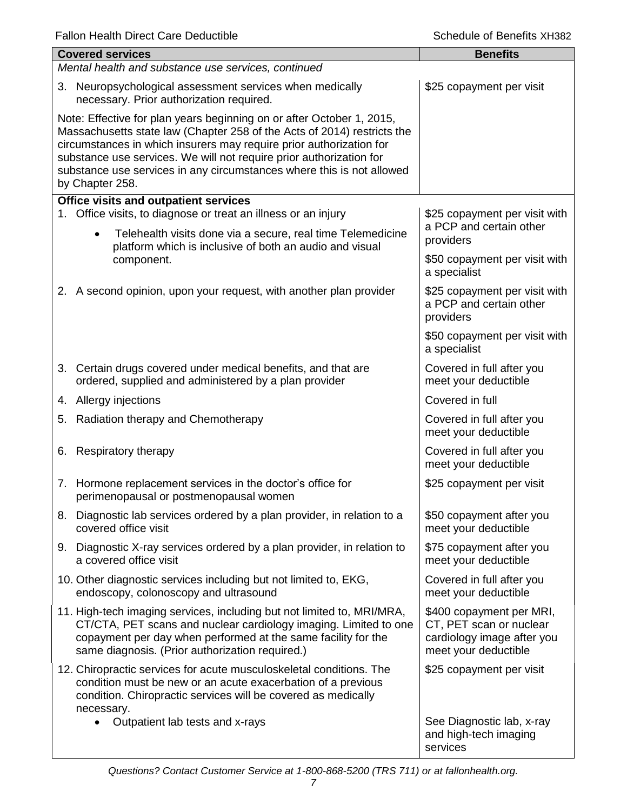|                                                                                                                                                                                                                                                                                                                                                                                            | <b>Covered services</b>                                                                                                                                                                                                                                        | <b>Benefits</b>                                                                                           |  |
|--------------------------------------------------------------------------------------------------------------------------------------------------------------------------------------------------------------------------------------------------------------------------------------------------------------------------------------------------------------------------------------------|----------------------------------------------------------------------------------------------------------------------------------------------------------------------------------------------------------------------------------------------------------------|-----------------------------------------------------------------------------------------------------------|--|
|                                                                                                                                                                                                                                                                                                                                                                                            | Mental health and substance use services, continued                                                                                                                                                                                                            |                                                                                                           |  |
|                                                                                                                                                                                                                                                                                                                                                                                            | 3. Neuropsychological assessment services when medically<br>necessary. Prior authorization required.                                                                                                                                                           | \$25 copayment per visit                                                                                  |  |
| Note: Effective for plan years beginning on or after October 1, 2015,<br>Massachusetts state law (Chapter 258 of the Acts of 2014) restricts the<br>circumstances in which insurers may require prior authorization for<br>substance use services. We will not require prior authorization for<br>substance use services in any circumstances where this is not allowed<br>by Chapter 258. |                                                                                                                                                                                                                                                                |                                                                                                           |  |
|                                                                                                                                                                                                                                                                                                                                                                                            | <b>Office visits and outpatient services</b>                                                                                                                                                                                                                   |                                                                                                           |  |
|                                                                                                                                                                                                                                                                                                                                                                                            | 1. Office visits, to diagnose or treat an illness or an injury<br>Telehealth visits done via a secure, real time Telemedicine<br>$\bullet$<br>platform which is inclusive of both an audio and visual                                                          | \$25 copayment per visit with<br>a PCP and certain other<br>providers                                     |  |
|                                                                                                                                                                                                                                                                                                                                                                                            | component.                                                                                                                                                                                                                                                     | \$50 copayment per visit with<br>a specialist                                                             |  |
|                                                                                                                                                                                                                                                                                                                                                                                            | 2. A second opinion, upon your request, with another plan provider                                                                                                                                                                                             | \$25 copayment per visit with<br>a PCP and certain other<br>providers                                     |  |
|                                                                                                                                                                                                                                                                                                                                                                                            |                                                                                                                                                                                                                                                                | \$50 copayment per visit with<br>a specialist                                                             |  |
|                                                                                                                                                                                                                                                                                                                                                                                            | 3. Certain drugs covered under medical benefits, and that are<br>ordered, supplied and administered by a plan provider                                                                                                                                         | Covered in full after you<br>meet your deductible                                                         |  |
|                                                                                                                                                                                                                                                                                                                                                                                            | 4. Allergy injections                                                                                                                                                                                                                                          | Covered in full                                                                                           |  |
|                                                                                                                                                                                                                                                                                                                                                                                            | 5. Radiation therapy and Chemotherapy                                                                                                                                                                                                                          | Covered in full after you<br>meet your deductible                                                         |  |
|                                                                                                                                                                                                                                                                                                                                                                                            | 6. Respiratory therapy                                                                                                                                                                                                                                         | Covered in full after you<br>meet your deductible                                                         |  |
|                                                                                                                                                                                                                                                                                                                                                                                            | 7. Hormone replacement services in the doctor's office for<br>perimenopausal or postmenopausal women                                                                                                                                                           | \$25 copayment per visit                                                                                  |  |
|                                                                                                                                                                                                                                                                                                                                                                                            | 8. Diagnostic lab services ordered by a plan provider, in relation to a<br>covered office visit                                                                                                                                                                | \$50 copayment after you<br>meet your deductible                                                          |  |
|                                                                                                                                                                                                                                                                                                                                                                                            | 9. Diagnostic X-ray services ordered by a plan provider, in relation to<br>a covered office visit                                                                                                                                                              | \$75 copayment after you<br>meet your deductible                                                          |  |
|                                                                                                                                                                                                                                                                                                                                                                                            | 10. Other diagnostic services including but not limited to, EKG,<br>endoscopy, colonoscopy and ultrasound                                                                                                                                                      | Covered in full after you<br>meet your deductible                                                         |  |
|                                                                                                                                                                                                                                                                                                                                                                                            | 11. High-tech imaging services, including but not limited to, MRI/MRA,<br>CT/CTA, PET scans and nuclear cardiology imaging. Limited to one<br>copayment per day when performed at the same facility for the<br>same diagnosis. (Prior authorization required.) | \$400 copayment per MRI,<br>CT, PET scan or nuclear<br>cardiology image after you<br>meet your deductible |  |
|                                                                                                                                                                                                                                                                                                                                                                                            | 12. Chiropractic services for acute musculoskeletal conditions. The<br>condition must be new or an acute exacerbation of a previous<br>condition. Chiropractic services will be covered as medically<br>necessary.                                             | \$25 copayment per visit                                                                                  |  |
|                                                                                                                                                                                                                                                                                                                                                                                            | Outpatient lab tests and x-rays                                                                                                                                                                                                                                | See Diagnostic lab, x-ray<br>and high-tech imaging<br>services                                            |  |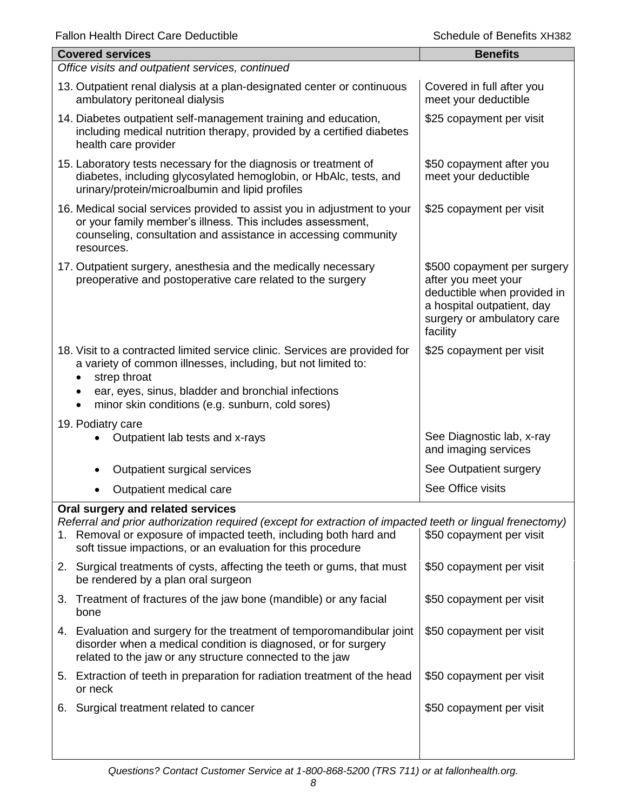| <b>Covered services</b>                                                                                                                                                                                                                                                | <b>Benefits</b>                                                                                                                                           |  |  |
|------------------------------------------------------------------------------------------------------------------------------------------------------------------------------------------------------------------------------------------------------------------------|-----------------------------------------------------------------------------------------------------------------------------------------------------------|--|--|
| Office visits and outpatient services, continued                                                                                                                                                                                                                       |                                                                                                                                                           |  |  |
| 13. Outpatient renal dialysis at a plan-designated center or continuous<br>ambulatory peritoneal dialysis                                                                                                                                                              | Covered in full after you<br>meet your deductible                                                                                                         |  |  |
| 14. Diabetes outpatient self-management training and education,<br>including medical nutrition therapy, provided by a certified diabetes<br>health care provider                                                                                                       | \$25 copayment per visit                                                                                                                                  |  |  |
| 15. Laboratory tests necessary for the diagnosis or treatment of<br>diabetes, including glycosylated hemoglobin, or HbAlc, tests, and<br>urinary/protein/microalbumin and lipid profiles                                                                               | \$50 copayment after you<br>meet your deductible                                                                                                          |  |  |
| 16. Medical social services provided to assist you in adjustment to your<br>or your family member's illness. This includes assessment,<br>counseling, consultation and assistance in accessing community<br>resources.                                                 | \$25 copayment per visit                                                                                                                                  |  |  |
| 17. Outpatient surgery, anesthesia and the medically necessary<br>preoperative and postoperative care related to the surgery                                                                                                                                           | \$500 copayment per surgery<br>after you meet your<br>deductible when provided in<br>a hospital outpatient, day<br>surgery or ambulatory care<br>facility |  |  |
| 18. Visit to a contracted limited service clinic. Services are provided for<br>a variety of common illnesses, including, but not limited to:<br>strep throat<br>ear, eyes, sinus, bladder and bronchial infections<br>minor skin conditions (e.g. sunburn, cold sores) | \$25 copayment per visit                                                                                                                                  |  |  |
| 19. Podiatry care                                                                                                                                                                                                                                                      |                                                                                                                                                           |  |  |
| Outpatient lab tests and x-rays                                                                                                                                                                                                                                        | See Diagnostic lab, x-ray<br>and imaging services                                                                                                         |  |  |
| Outpatient surgical services                                                                                                                                                                                                                                           | See Outpatient surgery                                                                                                                                    |  |  |
| Outpatient medical care                                                                                                                                                                                                                                                | See Office visits                                                                                                                                         |  |  |
| Oral surgery and related services                                                                                                                                                                                                                                      |                                                                                                                                                           |  |  |
| Referral and prior authorization required (except for extraction of impacted teeth or lingual frenectomy)<br>1. Removal or exposure of impacted teeth, including both hard and<br>soft tissue impactions, or an evaluation for this procedure                          | \$50 copayment per visit                                                                                                                                  |  |  |
| 2. Surgical treatments of cysts, affecting the teeth or gums, that must<br>be rendered by a plan oral surgeon                                                                                                                                                          | \$50 copayment per visit                                                                                                                                  |  |  |
| 3. Treatment of fractures of the jaw bone (mandible) or any facial<br>bone                                                                                                                                                                                             | \$50 copayment per visit                                                                                                                                  |  |  |
| 4. Evaluation and surgery for the treatment of temporomandibular joint<br>disorder when a medical condition is diagnosed, or for surgery<br>related to the jaw or any structure connected to the jaw                                                                   | \$50 copayment per visit                                                                                                                                  |  |  |
| 5. Extraction of teeth in preparation for radiation treatment of the head<br>or neck                                                                                                                                                                                   | \$50 copayment per visit                                                                                                                                  |  |  |
| Surgical treatment related to cancer<br>6.                                                                                                                                                                                                                             | \$50 copayment per visit                                                                                                                                  |  |  |
|                                                                                                                                                                                                                                                                        |                                                                                                                                                           |  |  |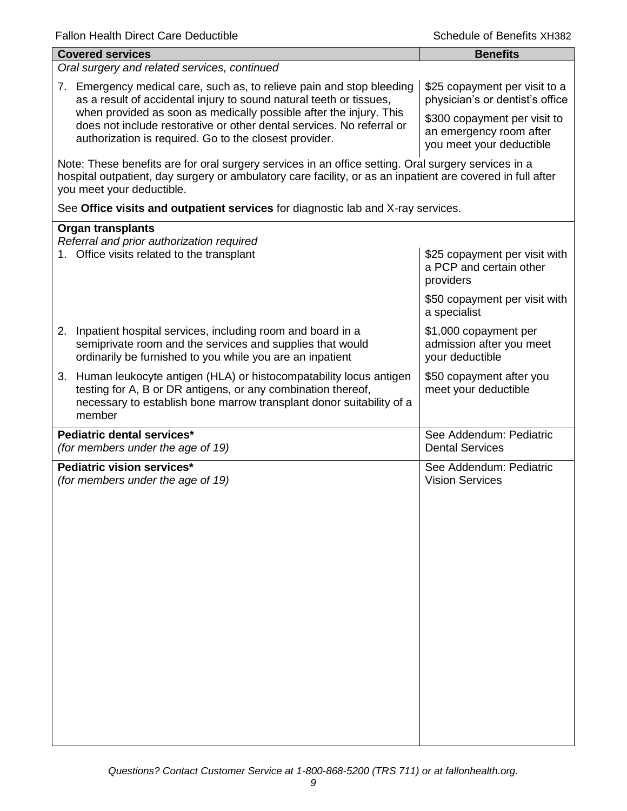| <b>Covered services</b>                                                                                                                                                                                                                        | <b>Benefits</b>                                                                     |  |  |
|------------------------------------------------------------------------------------------------------------------------------------------------------------------------------------------------------------------------------------------------|-------------------------------------------------------------------------------------|--|--|
| Oral surgery and related services, continued                                                                                                                                                                                                   |                                                                                     |  |  |
| 7. Emergency medical care, such as, to relieve pain and stop bleeding<br>as a result of accidental injury to sound natural teeth or tissues,                                                                                                   | \$25 copayment per visit to a<br>physician's or dentist's office                    |  |  |
| when provided as soon as medically possible after the injury. This<br>does not include restorative or other dental services. No referral or<br>authorization is required. Go to the closest provider.                                          | \$300 copayment per visit to<br>an emergency room after<br>you meet your deductible |  |  |
| Note: These benefits are for oral surgery services in an office setting. Oral surgery services in a<br>hospital outpatient, day surgery or ambulatory care facility, or as an inpatient are covered in full after<br>you meet your deductible. |                                                                                     |  |  |
| See Office visits and outpatient services for diagnostic lab and X-ray services.                                                                                                                                                               |                                                                                     |  |  |
| <b>Organ transplants</b>                                                                                                                                                                                                                       |                                                                                     |  |  |
| Referral and prior authorization required<br>1. Office visits related to the transplant                                                                                                                                                        | \$25 copayment per visit with<br>a PCP and certain other<br>providers               |  |  |
|                                                                                                                                                                                                                                                | \$50 copayment per visit with<br>a specialist                                       |  |  |
| 2. Inpatient hospital services, including room and board in a<br>semiprivate room and the services and supplies that would<br>ordinarily be furnished to you while you are an inpatient                                                        | \$1,000 copayment per<br>admission after you meet<br>your deductible                |  |  |
| 3. Human leukocyte antigen (HLA) or histocompatability locus antigen<br>testing for A, B or DR antigens, or any combination thereof,<br>necessary to establish bone marrow transplant donor suitability of a<br>member                         | \$50 copayment after you<br>meet your deductible                                    |  |  |
| Pediatric dental services*<br>(for members under the age of 19)                                                                                                                                                                                | See Addendum: Pediatric<br><b>Dental Services</b>                                   |  |  |
| Pediatric vision services*<br>(for members under the age of 19)                                                                                                                                                                                | See Addendum: Pediatric<br><b>Vision Services</b>                                   |  |  |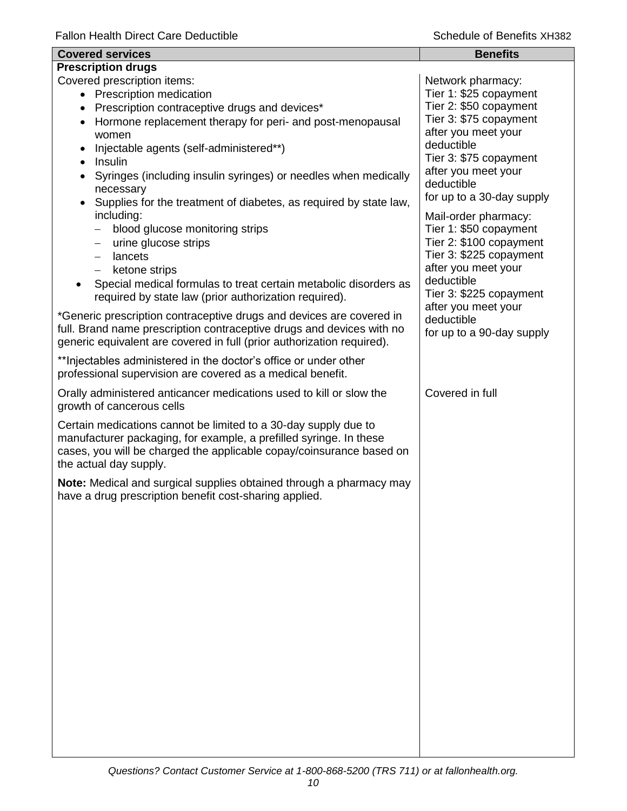| <b>Covered services</b>                                                                                                                                                                                                                                                                                    | <b>Benefits</b>                                                                                                                                          |
|------------------------------------------------------------------------------------------------------------------------------------------------------------------------------------------------------------------------------------------------------------------------------------------------------------|----------------------------------------------------------------------------------------------------------------------------------------------------------|
| <b>Prescription drugs</b>                                                                                                                                                                                                                                                                                  |                                                                                                                                                          |
| Covered prescription items:<br>• Prescription medication<br>Prescription contraceptive drugs and devices*<br>٠<br>Hormone replacement therapy for peri- and post-menopausal                                                                                                                                | Network pharmacy:<br>Tier 1: \$25 copayment<br>Tier 2: \$50 copayment<br>Tier 3: \$75 copayment<br>after you meet your                                   |
| women<br>Injectable agents (self-administered**)<br>Insulin<br>Syringes (including insulin syringes) or needles when medically<br>$\bullet$<br>necessary<br>Supplies for the treatment of diabetes, as required by state law,<br>including:<br>blood glucose monitoring strips<br>$\overline{\phantom{0}}$ | deductible<br>Tier 3: \$75 copayment<br>after you meet your<br>deductible<br>for up to a 30-day supply<br>Mail-order pharmacy:<br>Tier 1: \$50 copayment |
| urine glucose strips<br>$\qquad \qquad -$<br>lancets<br>$-$<br>ketone strips<br>$-$<br>Special medical formulas to treat certain metabolic disorders as<br>required by state law (prior authorization required).                                                                                           | Tier 2: \$100 copayment<br>Tier 3: \$225 copayment<br>after you meet your<br>deductible<br>Tier 3: \$225 copayment<br>after you meet your                |
| *Generic prescription contraceptive drugs and devices are covered in<br>full. Brand name prescription contraceptive drugs and devices with no<br>generic equivalent are covered in full (prior authorization required).                                                                                    | deductible<br>for up to a 90-day supply                                                                                                                  |
| ** Injectables administered in the doctor's office or under other<br>professional supervision are covered as a medical benefit.                                                                                                                                                                            |                                                                                                                                                          |
| Orally administered anticancer medications used to kill or slow the<br>growth of cancerous cells                                                                                                                                                                                                           | Covered in full                                                                                                                                          |
| Certain medications cannot be limited to a 30-day supply due to<br>manufacturer packaging, for example, a prefilled syringe. In these<br>cases, you will be charged the applicable copay/coinsurance based on<br>the actual day supply.                                                                    |                                                                                                                                                          |
| Note: Medical and surgical supplies obtained through a pharmacy may<br>have a drug prescription benefit cost-sharing applied.                                                                                                                                                                              |                                                                                                                                                          |
|                                                                                                                                                                                                                                                                                                            |                                                                                                                                                          |
|                                                                                                                                                                                                                                                                                                            |                                                                                                                                                          |
|                                                                                                                                                                                                                                                                                                            |                                                                                                                                                          |
|                                                                                                                                                                                                                                                                                                            |                                                                                                                                                          |
|                                                                                                                                                                                                                                                                                                            |                                                                                                                                                          |
|                                                                                                                                                                                                                                                                                                            |                                                                                                                                                          |
|                                                                                                                                                                                                                                                                                                            |                                                                                                                                                          |
|                                                                                                                                                                                                                                                                                                            |                                                                                                                                                          |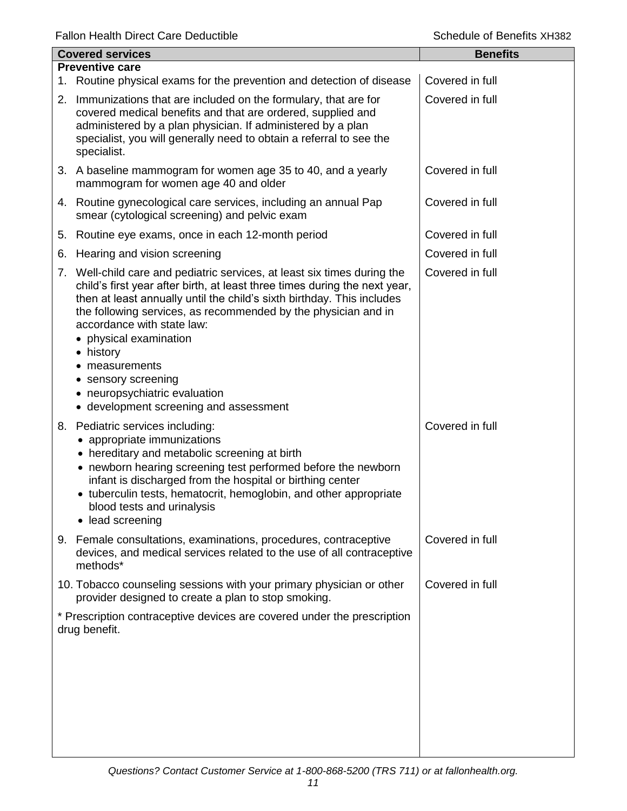| <b>Covered services</b> |                                                                                                                                                                                                                                                                                                                                                                                                                                                                                           | <b>Benefits</b> |  |  |
|-------------------------|-------------------------------------------------------------------------------------------------------------------------------------------------------------------------------------------------------------------------------------------------------------------------------------------------------------------------------------------------------------------------------------------------------------------------------------------------------------------------------------------|-----------------|--|--|
| <b>Preventive care</b>  |                                                                                                                                                                                                                                                                                                                                                                                                                                                                                           |                 |  |  |
|                         | 1. Routine physical exams for the prevention and detection of disease                                                                                                                                                                                                                                                                                                                                                                                                                     | Covered in full |  |  |
|                         | 2. Immunizations that are included on the formulary, that are for<br>covered medical benefits and that are ordered, supplied and<br>administered by a plan physician. If administered by a plan<br>specialist, you will generally need to obtain a referral to see the<br>specialist.                                                                                                                                                                                                     | Covered in full |  |  |
|                         | 3. A baseline mammogram for women age 35 to 40, and a yearly<br>mammogram for women age 40 and older                                                                                                                                                                                                                                                                                                                                                                                      | Covered in full |  |  |
|                         | 4. Routine gynecological care services, including an annual Pap<br>smear (cytological screening) and pelvic exam                                                                                                                                                                                                                                                                                                                                                                          | Covered in full |  |  |
| 5.                      | Routine eye exams, once in each 12-month period                                                                                                                                                                                                                                                                                                                                                                                                                                           | Covered in full |  |  |
| 6.                      | Hearing and vision screening                                                                                                                                                                                                                                                                                                                                                                                                                                                              | Covered in full |  |  |
|                         | 7. Well-child care and pediatric services, at least six times during the<br>child's first year after birth, at least three times during the next year,<br>then at least annually until the child's sixth birthday. This includes<br>the following services, as recommended by the physician and in<br>accordance with state law:<br>• physical examination<br>• history<br>measurements<br>• sensory screening<br>• neuropsychiatric evaluation<br>• development screening and assessment | Covered in full |  |  |
|                         | 8. Pediatric services including:<br>• appropriate immunizations<br>• hereditary and metabolic screening at birth<br>• newborn hearing screening test performed before the newborn<br>infant is discharged from the hospital or birthing center<br>• tuberculin tests, hematocrit, hemoglobin, and other appropriate<br>blood tests and urinalysis<br>lead screening                                                                                                                       | Covered in full |  |  |
|                         | 9. Female consultations, examinations, procedures, contraceptive<br>devices, and medical services related to the use of all contraceptive<br>methods*                                                                                                                                                                                                                                                                                                                                     | Covered in full |  |  |
|                         | 10. Tobacco counseling sessions with your primary physician or other<br>provider designed to create a plan to stop smoking.                                                                                                                                                                                                                                                                                                                                                               | Covered in full |  |  |
|                         | * Prescription contraceptive devices are covered under the prescription<br>drug benefit.                                                                                                                                                                                                                                                                                                                                                                                                  |                 |  |  |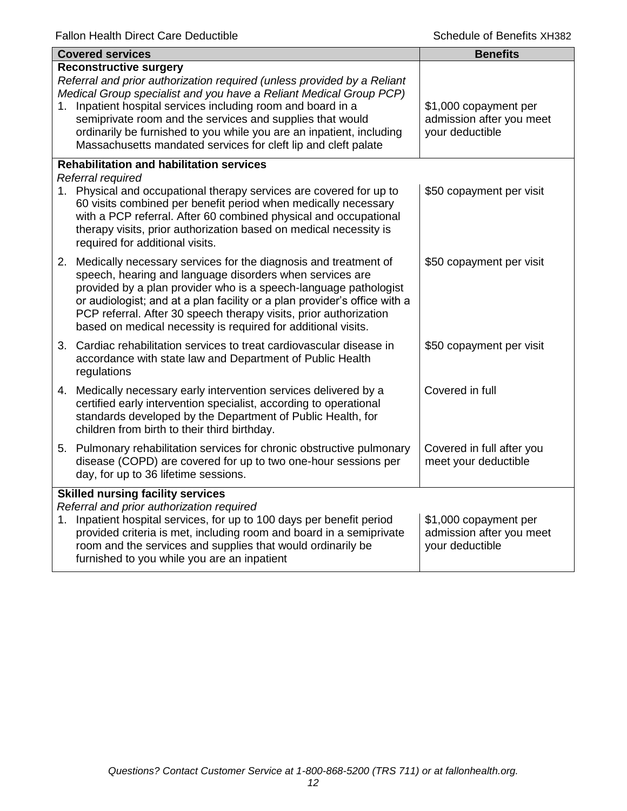|                                          | <b>Covered services</b>                                                                                                                                                                                                                                                                                                                                                                                                                            | <b>Benefits</b>                                                      |
|------------------------------------------|----------------------------------------------------------------------------------------------------------------------------------------------------------------------------------------------------------------------------------------------------------------------------------------------------------------------------------------------------------------------------------------------------------------------------------------------------|----------------------------------------------------------------------|
| 1.                                       | <b>Reconstructive surgery</b><br>Referral and prior authorization required (unless provided by a Reliant<br>Medical Group specialist and you have a Reliant Medical Group PCP)<br>Inpatient hospital services including room and board in a<br>semiprivate room and the services and supplies that would<br>ordinarily be furnished to you while you are an inpatient, including<br>Massachusetts mandated services for cleft lip and cleft palate | \$1,000 copayment per<br>admission after you meet<br>your deductible |
|                                          | <b>Rehabilitation and habilitation services</b><br>Referral required                                                                                                                                                                                                                                                                                                                                                                               |                                                                      |
|                                          | 1. Physical and occupational therapy services are covered for up to<br>60 visits combined per benefit period when medically necessary<br>with a PCP referral. After 60 combined physical and occupational<br>therapy visits, prior authorization based on medical necessity is<br>required for additional visits.                                                                                                                                  | \$50 copayment per visit                                             |
|                                          | 2. Medically necessary services for the diagnosis and treatment of<br>speech, hearing and language disorders when services are<br>provided by a plan provider who is a speech-language pathologist<br>or audiologist; and at a plan facility or a plan provider's office with a<br>PCP referral. After 30 speech therapy visits, prior authorization<br>based on medical necessity is required for additional visits.                              | \$50 copayment per visit                                             |
|                                          | 3. Cardiac rehabilitation services to treat cardiovascular disease in<br>accordance with state law and Department of Public Health<br>regulations                                                                                                                                                                                                                                                                                                  | \$50 copayment per visit                                             |
|                                          | 4. Medically necessary early intervention services delivered by a<br>certified early intervention specialist, according to operational<br>standards developed by the Department of Public Health, for<br>children from birth to their third birthday.                                                                                                                                                                                              | Covered in full                                                      |
|                                          | 5. Pulmonary rehabilitation services for chronic obstructive pulmonary<br>disease (COPD) are covered for up to two one-hour sessions per<br>day, for up to 36 lifetime sessions.                                                                                                                                                                                                                                                                   | Covered in full after you<br>meet your deductible                    |
| <b>Skilled nursing facility services</b> |                                                                                                                                                                                                                                                                                                                                                                                                                                                    |                                                                      |
| 1.                                       | Referral and prior authorization required<br>Inpatient hospital services, for up to 100 days per benefit period<br>provided criteria is met, including room and board in a semiprivate<br>room and the services and supplies that would ordinarily be<br>furnished to you while you are an inpatient                                                                                                                                               | \$1,000 copayment per<br>admission after you meet<br>your deductible |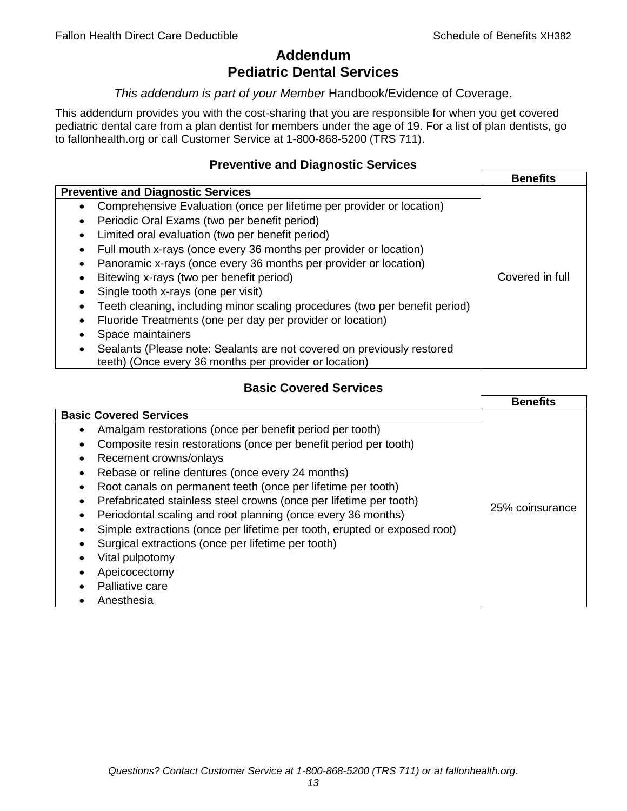# **Addendum Pediatric Dental Services**

## *This addendum is part of your Member* Handbook/Evidence of Coverage.

This addendum provides you with the cost-sharing that you are responsible for when you get covered pediatric dental care from a plan dentist for members under the age of 19. For a list of plan dentists, go to fallonhealth.org or call Customer Service at 1-800-868-5200 (TRS 711).

# **Preventive and Diagnostic Services**

|                                                                                    | <b>Benefits</b> |
|------------------------------------------------------------------------------------|-----------------|
| <b>Preventive and Diagnostic Services</b>                                          |                 |
| Comprehensive Evaluation (once per lifetime per provider or location)<br>$\bullet$ |                 |
| Periodic Oral Exams (two per benefit period)                                       |                 |
| Limited oral evaluation (two per benefit period)<br>٠                              |                 |
| Full mouth x-rays (once every 36 months per provider or location)                  |                 |
| Panoramic x-rays (once every 36 months per provider or location)                   |                 |
| Bitewing x-rays (two per benefit period)<br>٠                                      | Covered in full |
| Single tooth x-rays (one per visit)                                                |                 |
| Teeth cleaning, including minor scaling procedures (two per benefit period)        |                 |
| Fluoride Treatments (one per day per provider or location)<br>٠                    |                 |
| Space maintainers                                                                  |                 |
| Sealants (Please note: Sealants are not covered on previously restored             |                 |
| teeth) (Once every 36 months per provider or location)                             |                 |

# **Basic Covered Services**

|                                                                                                                                                                                                                                                                                                                                                                                           | <b>Benefits</b> |
|-------------------------------------------------------------------------------------------------------------------------------------------------------------------------------------------------------------------------------------------------------------------------------------------------------------------------------------------------------------------------------------------|-----------------|
| <b>Basic Covered Services</b><br>Amalgam restorations (once per benefit period per tooth)<br>Composite resin restorations (once per benefit period per tooth)<br>Recement crowns/onlays                                                                                                                                                                                                   |                 |
| Rebase or reline dentures (once every 24 months)<br>Root canals on permanent teeth (once per lifetime per tooth)<br>Prefabricated stainless steel crowns (once per lifetime per tooth)<br>Periodontal scaling and root planning (once every 36 months)<br>Simple extractions (once per lifetime per tooth, erupted or exposed root)<br>Surgical extractions (once per lifetime per tooth) | 25% coinsurance |
| Vital pulpotomy<br>Apeicocectomy<br>Palliative care<br>Anesthesia                                                                                                                                                                                                                                                                                                                         |                 |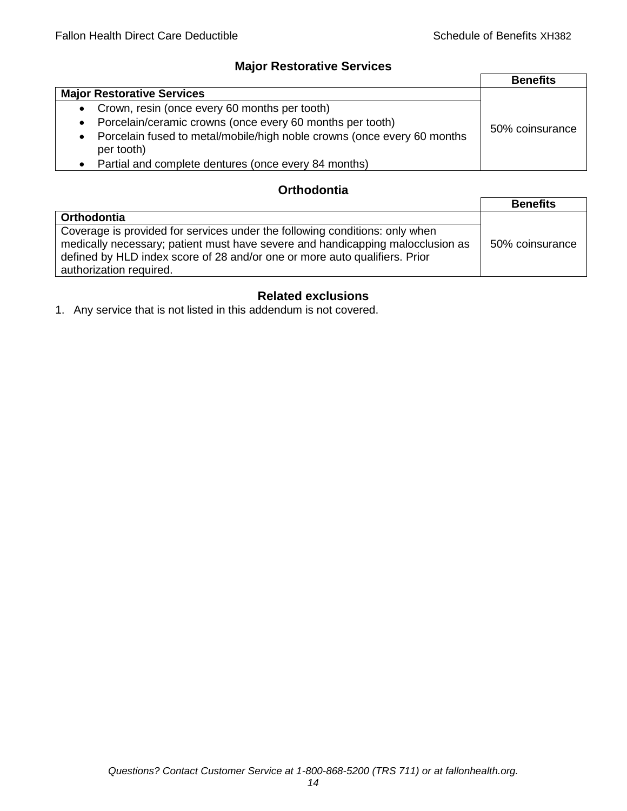# **Major Restorative Services**

|                                                                                                    | <b>Benefits</b> |
|----------------------------------------------------------------------------------------------------|-----------------|
| <b>Major Restorative Services</b>                                                                  |                 |
| • Crown, resin (once every 60 months per tooth)                                                    |                 |
| Porcelain/ceramic crowns (once every 60 months per tooth)<br>$\bullet$                             | 50% coinsurance |
| Porcelain fused to metal/mobile/high noble crowns (once every 60 months<br>$\bullet$<br>per tooth) |                 |
| • Partial and complete dentures (once every 84 months)                                             |                 |

# **Orthodontia**

|                                                                                                                                                                                                                                                                        | <b>Benefits</b> |
|------------------------------------------------------------------------------------------------------------------------------------------------------------------------------------------------------------------------------------------------------------------------|-----------------|
| Orthodontia                                                                                                                                                                                                                                                            |                 |
| Coverage is provided for services under the following conditions: only when<br>medically necessary; patient must have severe and handicapping malocclusion as<br>defined by HLD index score of 28 and/or one or more auto qualifiers. Prior<br>authorization required. | 50% coinsurance |

# **Related exclusions**

1. Any service that is not listed in this addendum is not covered.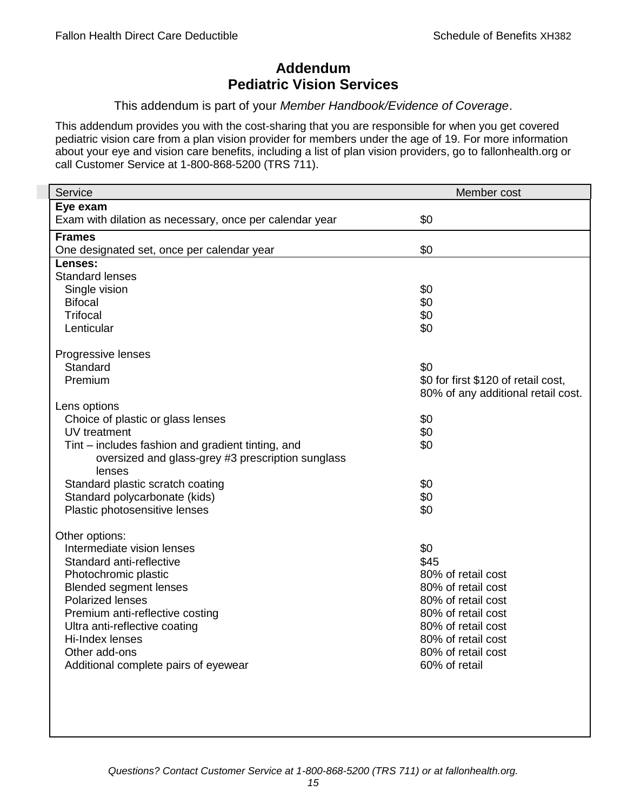# **Addendum Pediatric Vision Services**

## This addendum is part of your *Member Handbook/Evidence of Coverage*.

This addendum provides you with the cost-sharing that you are responsible for when you get covered pediatric vision care from a plan vision provider for members under the age of 19. For more information about your eye and vision care benefits, including a list of plan vision providers, go to fallonhealth.org or call Customer Service at 1-800-868-5200 (TRS 711).

| Service                                                 | Member cost                         |
|---------------------------------------------------------|-------------------------------------|
| Eye exam                                                |                                     |
| Exam with dilation as necessary, once per calendar year | \$0                                 |
| <b>Frames</b>                                           |                                     |
| One designated set, once per calendar year              | \$0                                 |
| Lenses:                                                 |                                     |
| <b>Standard lenses</b>                                  |                                     |
| Single vision                                           | \$0                                 |
| <b>Bifocal</b>                                          | \$0                                 |
| <b>Trifocal</b>                                         | \$0                                 |
| Lenticular                                              | \$0                                 |
| Progressive lenses                                      |                                     |
| Standard                                                | \$0                                 |
| Premium                                                 | \$0 for first \$120 of retail cost, |
|                                                         | 80% of any additional retail cost.  |
| Lens options                                            |                                     |
| Choice of plastic or glass lenses                       | \$0                                 |
| UV treatment                                            | \$0                                 |
| Tint – includes fashion and gradient tinting, and       | \$0                                 |
| oversized and glass-grey #3 prescription sunglass       |                                     |
| lenses                                                  |                                     |
| Standard plastic scratch coating                        | \$0                                 |
| Standard polycarbonate (kids)                           | \$0                                 |
| Plastic photosensitive lenses                           | \$0                                 |
| Other options:                                          |                                     |
| Intermediate vision lenses                              | \$0                                 |
| Standard anti-reflective                                | \$45                                |
| Photochromic plastic                                    | 80% of retail cost                  |
| <b>Blended segment lenses</b>                           | 80% of retail cost                  |
| <b>Polarized lenses</b>                                 | 80% of retail cost                  |
| Premium anti-reflective costing                         | 80% of retail cost                  |
| Ultra anti-reflective coating                           | 80% of retail cost                  |
| Hi-Index lenses                                         | 80% of retail cost                  |
| Other add-ons                                           | 80% of retail cost                  |
| Additional complete pairs of eyewear                    | 60% of retail                       |
|                                                         |                                     |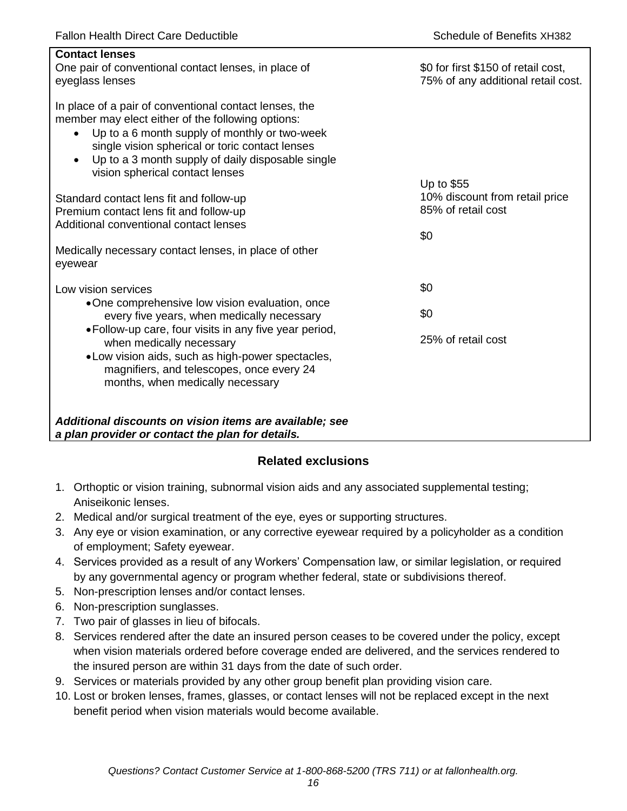| <b>Contact lenses</b><br>One pair of conventional contact lenses, in place of<br>eyeglass lenses                                                                                                                                                                                                                                  | \$0 for first \$150 of retail cost,<br>75% of any additional retail cost. |
|-----------------------------------------------------------------------------------------------------------------------------------------------------------------------------------------------------------------------------------------------------------------------------------------------------------------------------------|---------------------------------------------------------------------------|
| In place of a pair of conventional contact lenses, the<br>member may elect either of the following options:<br>Up to a 6 month supply of monthly or two-week<br>$\bullet$<br>single vision spherical or toric contact lenses<br>Up to a 3 month supply of daily disposable single<br>$\bullet$<br>vision spherical contact lenses |                                                                           |
| Standard contact lens fit and follow-up<br>Premium contact lens fit and follow-up                                                                                                                                                                                                                                                 | Up to \$55<br>10% discount from retail price<br>85% of retail cost        |
| Additional conventional contact lenses                                                                                                                                                                                                                                                                                            | \$0                                                                       |
| Medically necessary contact lenses, in place of other<br>eyewear                                                                                                                                                                                                                                                                  |                                                                           |
| Low vision services                                                                                                                                                                                                                                                                                                               | \$0                                                                       |
| •One comprehensive low vision evaluation, once<br>every five years, when medically necessary                                                                                                                                                                                                                                      | \$0                                                                       |
| • Follow-up care, four visits in any five year period,<br>when medically necessary<br>• Low vision aids, such as high-power spectacles,<br>magnifiers, and telescopes, once every 24<br>months, when medically necessary                                                                                                          | 25% of retail cost                                                        |
| Additional discounts on vision items are available; see<br>a plan provider or contact the plan for details.                                                                                                                                                                                                                       |                                                                           |

# **Related exclusions**

- 1. Orthoptic or vision training, subnormal vision aids and any associated supplemental testing; Aniseikonic lenses.
- 2. Medical and/or surgical treatment of the eye, eyes or supporting structures.
- 3. Any eye or vision examination, or any corrective eyewear required by a policyholder as a condition of employment; Safety eyewear.
- 4. Services provided as a result of any Workers' Compensation law, or similar legislation, or required by any governmental agency or program whether federal, state or subdivisions thereof.
- 5. Non-prescription lenses and/or contact lenses.
- 6. Non-prescription sunglasses.
- 7. Two pair of glasses in lieu of bifocals.
- 8. Services rendered after the date an insured person ceases to be covered under the policy, except when vision materials ordered before coverage ended are delivered, and the services rendered to the insured person are within 31 days from the date of such order.
- 9. Services or materials provided by any other group benefit plan providing vision care.
- 10. Lost or broken lenses, frames, glasses, or contact lenses will not be replaced except in the next benefit period when vision materials would become available.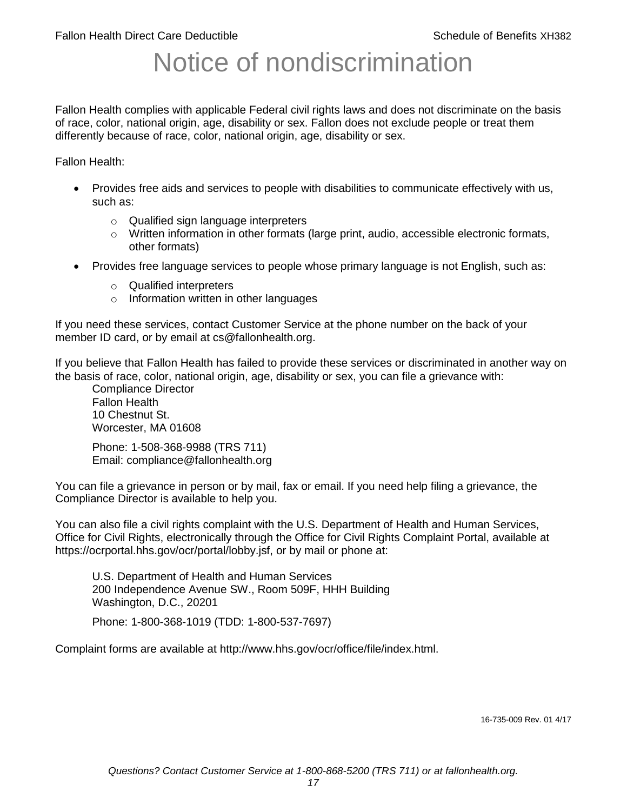# Notice of nondiscrimination

Fallon Health complies with applicable Federal civil rights laws and does not discriminate on the basis of race, color, national origin, age, disability or sex. Fallon does not exclude people or treat them differently because of race, color, national origin, age, disability or sex.

Fallon Health:

- Provides free aids and services to people with disabilities to communicate effectively with us, such as:
	- o Qualified sign language interpreters
	- $\circ$  Written information in other formats (large print, audio, accessible electronic formats, other formats)
- Provides free language services to people whose primary language is not English, such as:
	- o Qualified interpreters
	- o Information written in other languages

If you need these services, contact Customer Service at the phone number on the back of your member ID card, or by email at cs@fallonhealth.org.

If you believe that Fallon Health has failed to provide these services or discriminated in another way on the basis of race, color, national origin, age, disability or sex, you can file a grievance with:

Compliance Director Fallon Health 10 Chestnut St. Worcester, MA 01608

Phone: 1-508-368-9988 (TRS 711) Email: compliance@fallonhealth.org

You can file a grievance in person or by mail, fax or email. If you need help filing a grievance, the Compliance Director is available to help you.

You can also file a civil rights complaint with the U.S. Department of Health and Human Services, Office for Civil Rights, electronically through the Office for Civil Rights Complaint Portal, available at https://ocrportal.hhs.gov/ocr/portal/lobby.jsf, or by mail or phone at:

U.S. Department of Health and Human Services 200 Independence Avenue SW., Room 509F, HHH Building Washington, D.C., 20201

Phone: 1-800-368-1019 (TDD: 1-800-537-7697)

Complaint forms are available at http://www.hhs.gov/ocr/office/file/index.html.

16-735-009 Rev. 01 4/17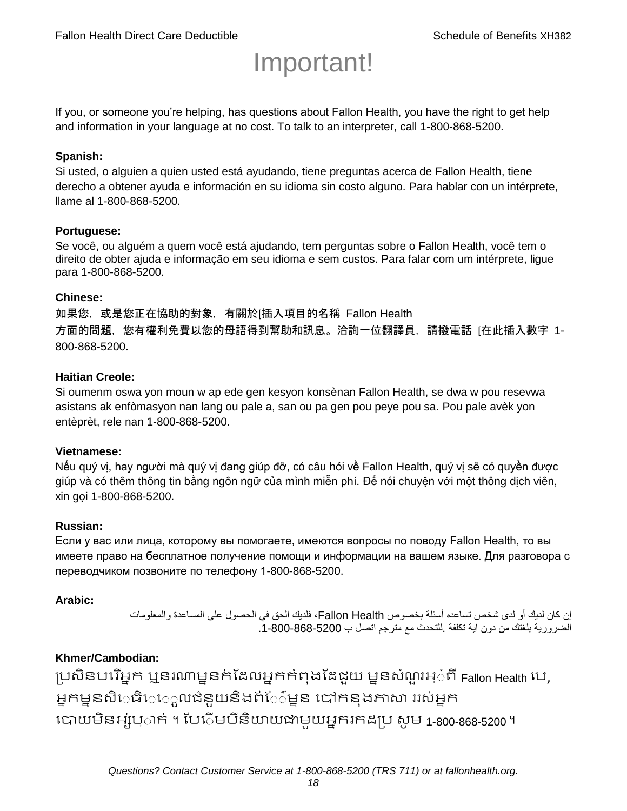# Important!

If you, or someone you're helping, has questions about Fallon Health, you have the right to get help and information in your language at no cost. To talk to an interpreter, call 1-800-868-5200.

#### **Spanish:**

Si usted, o alguien a quien usted está ayudando, tiene preguntas acerca de Fallon Health, tiene derecho a obtener ayuda e información en su idioma sin costo alguno. Para hablar con un intérprete, llame al 1-800-868-5200.

### **Portuguese:**

Se você, ou alguém a quem você está ajudando, tem perguntas sobre o Fallon Health, você tem o direito de obter ajuda e informação em seu idioma e sem custos. Para falar com um intérprete, ligue para 1-800-868-5200.

#### **Chinese:**

如果您,或是您正在協助的對象,有關於[插入項目的名稱 Fallon Health 方面的問題, 您有權利免費以您的母語得到幫助和訊息。洽詢一位翻譯員, 請撥電話 [在此插入數字 1-800-868-5200.

### **Haitian Creole:**

Si oumenm oswa yon moun w ap ede gen kesyon konsènan Fallon Health, se dwa w pou resevwa asistans ak enfòmasyon nan lang ou pale a, san ou pa gen pou peye pou sa. Pou pale avèk yon entèprèt, rele nan 1-800-868-5200.

#### **Vietnamese:**

Nếu quý vị, hay người mà quý vị đang giúp đỡ, có câu hỏi về Fallon Health, quý vị sẽ có quyền được giúp và có thêm thông tin bằng ngôn ngữ của mình miễn phí. Để nói chuyện với một thông dịch viên, xin gọi 1-800-868-5200.

#### **Russian:**

Если у вас или лица, которому вы помогаете, имеются вопросы по поводу Fallon Health, то вы имеете право на бесплатное получение помощи и информации на вашем языке. Для разговора с переводчиком позвоните по телефону 1-800-868-5200.

#### **Arabic:**

إن كان لديك أو لدى شخص تساعده أسئلة بخصوص Health Fallon، فلديك الحق في الحصول على المساعدة والمعلومات الضرورية بلغتك من دون اية تكلفة .للتحدث مع مترجم اتصل ب .1-800-868-5200

# **Khmer/Cambodian:**

ប្រសិនបរើអ្នក ឬនរណាម្ននក់ដែលអ្នកកំពុងដែជយ ម្ននសំណួរអ្៎ពី Fallon Health រប, អ្នកម្ននសិេធិេ្រុលជំនួយនិងព័ែ៌ម្នន បៅកនុងភាសា ររស់អ្នក រោយម្ិនអ្ស់រ្ំ ក់ ។ ដររំម្ រនី ិយាយជាម្ួយអ្នក កែប្រ សូ ម្ 1-800-868-5200 ។